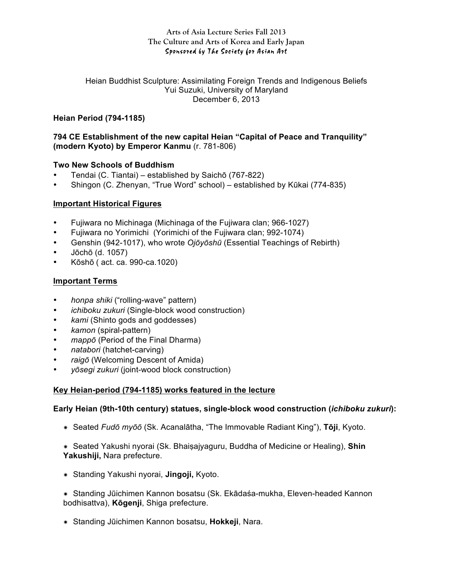#### **Arts of Asia Lecture Series Fall 2013 The Culture and Arts of Korea and Early Japan** Sponsored by The Society for Asian Art

Heian Buddhist Sculpture: Assimilating Foreign Trends and Indigenous Beliefs Yui Suzuki, University of Maryland December 6, 2013

# **Heian Period (794-1185)**

### **794 CE Establishment of the new capital Heian "Capital of Peace and Tranquility" (modern Kyoto) by Emperor Kanmu** (r. 781-806)

### **Two New Schools of Buddhism**

- Tendai (C. Tiantai) established by Saichō (767-822)
- Shingon (C. Zhenyan, "True Word" school) established by Kūkai (774-835)

# **Important Historical Figures**

- Fujiwara no Michinaga (Michinaga of the Fujiwara clan; 966-1027)
- Fujiwara no Yorimichi (Yorimichi of the Fujiwara clan; 992-1074)
- Genshin (942-1017), who wrote *Ojōyōshū* (Essential Teachings of Rebirth)
- Jōchō (d. 1057)
- Kōshō ( act. ca. 990-ca.1020)

### **Important Terms**

- *honpa shiki* ("rolling-wave" pattern)
- *ichiboku zukuri* (Single-block wood construction)
- *kami* (Shinto gods and goddesses)
- *kamon* (spiral-pattern)
- *mappō* (Period of the Final Dharma)
- *natabori* (hatchet-carving)
- *raigō* (Welcoming Descent of Amida)
- *yōsegi zukuri* (joint-wood block construction)

### **Key Heian-period (794-1185) works featured in the lecture**

### **Early Heian (9th-10th century) statues, single-block wood construction (***ichiboku zukuri***):**

- **✷** Seated *Fudō myōō* (Sk. Acanalātha, "The Immovable Radiant King"), **Tōji**, Kyoto.
- **✷** Seated Yakushi nyorai (Sk. Bhaiṣajyaguru, Buddha of Medicine or Healing), **Shin Yakushiji,** Nara prefecture.
- **✷** Standing Yakushi nyorai, **Jingoji,** Kyoto.
- **✷** Standing Jūichimen Kannon bosatsu (Sk. Ekādaśa-mukha, Eleven-headed Kannon bodhisattva), **Kōgenji**, Shiga prefecture.
- **✷** Standing Jūichimen Kannon bosatsu, **Hokkeji**, Nara.